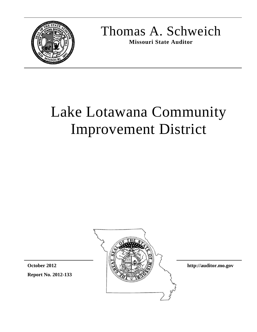

Thomas A. Schweich

**Missouri State Auditor** 

# Lake Lotawana Community Improvement District



**http://auditor.mo.gov** 

**Report No. 2012-133 October 2012**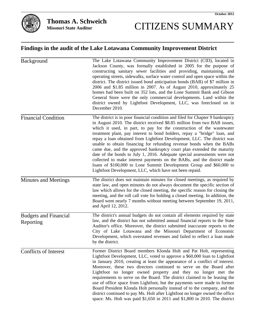

# CITIZENS SUMMARY

# **Findings in the audit of the Lake Lotawana Community Improvement District**

| Background                                | The Lake Lotawana Community Improvement District (CID), located in<br>Jackson County, was formally established in 2005 for the purpose of<br>constructing sanitary sewer facilities and providing, maintaining, and<br>operating streets, sidewalks, surface water control and open space within the<br>district. The district issued bond anticipation bonds (BAB) of \$7 million in<br>2006 and \$1.85 million in 2007. As of August 2010, approximately 25<br>homes had been built on 352 lots, and the Lone Summit Bank and Gibson<br>General Store were the only commercial developments. Land within the<br>district owned by Lightfoot Development, LLC, was foreclosed on in<br>December 2010.                                                                                                                                 |
|-------------------------------------------|----------------------------------------------------------------------------------------------------------------------------------------------------------------------------------------------------------------------------------------------------------------------------------------------------------------------------------------------------------------------------------------------------------------------------------------------------------------------------------------------------------------------------------------------------------------------------------------------------------------------------------------------------------------------------------------------------------------------------------------------------------------------------------------------------------------------------------------|
| <b>Financial Condition</b>                | The district is in poor financial condition and filed for Chapter 9 bankruptcy<br>in August 2010. The district received \$8.85 million from two BAB issues,<br>which it used, in part, to pay for the construction of the wastewater<br>treatment plant, pay interest to bond holders, repay a "bridge" loan, and<br>repay a loan obtained from Lightfoot Development, LLC. The district was<br>unable to obtain financing for refunding revenue bonds when the BABs<br>came due, and the approved bankruptcy court plan extended the maturity<br>date of the bonds to July 1, 2016. Adequate special assessments were not<br>collected to make interest payments on the BABs, and the district made<br>loans of \$100,000 to Lone Summit Development Group and \$60,000 to<br>Lightfoot Development, LLC, which have not been repaid. |
| Minutes and Meetings                      | The district does not maintain minutes for closed meetings, as required by<br>state law, and open minutes do not always document the specific section of<br>law which allows for the closed meeting, the specific reason for closing the<br>meeting, and the roll call vote for holding a closed meeting. In addition, the<br>Board went nearly 7 months without meeting between September 19, 2011,<br>and April 12, 2012.                                                                                                                                                                                                                                                                                                                                                                                                            |
| <b>Budgets and Financial</b><br>Reporting | The district's annual budgets do not contain all elements required by state<br>law, and the district has not submitted annual financial reports to the State<br>Auditor's office. Moreover, the district submitted inaccurate reports to the<br>City of Lake Lotawana and the Missouri Department of Economic<br>Development, which overstated revenues and failed to reflect a loan made<br>by the district.                                                                                                                                                                                                                                                                                                                                                                                                                          |
| Conflicts of Interest                     | Former District Board members Klonda Holt and Pat Holt, representing<br>Lightfoot Development, LLC, voted to approve a \$60,000 loan to Lightfoot<br>in January 2010, creating at least the appearance of a conflict of interest.<br>Moreover, these two directors continued to serve on the Board after<br>Lightfoot no longer owned property and they no longer met the<br>requirements to serve on the Board. The district claimed to be leasing the<br>use of office space from Lightfoot, but the payments were made to former<br>Board President Klonda Holt personally instead of to the company, and the<br>district continued to pay Ms. Holt after Lightfoot no longer owned the office<br>space. Ms. Holt was paid \$1,650 in 2011 and \$1,800 in 2010. The district                                                        |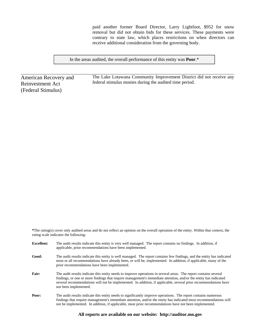paid another former Board Director, Larry Lightfoot, \$952 for snow removal but did not obtain bids for these services. These payments were contrary to state law, which places restrictions on when directors can receive additional consideration from the governing body.

In the areas audited, the overall performance of this entity was **Poor**.\*

American Recovery and Reinvestment Act (Federal Stimulus)

The Lake Lotawana Community Improvement District did not receive any federal stimulus monies during the audited time period.

**\***The rating(s) cover only audited areas and do not reflect an opinion on the overall operation of the entity. Within that context, the rating scale indicates the following:

| <b>Excellent:</b> | The audit results indicate this entity is very well managed. The report contains no findings. In addition, if<br>applicable, prior recommendations have been implemented.                                                                                                                                                                                                        |
|-------------------|----------------------------------------------------------------------------------------------------------------------------------------------------------------------------------------------------------------------------------------------------------------------------------------------------------------------------------------------------------------------------------|
| Good:             | The audit results indicate this entity is well managed. The report contains few findings, and the entity has indicated<br>most or all recommendations have already been, or will be, implemented. In addition, if applicable, many of the<br>prior recommendations have been implemented.                                                                                        |
| Fair:             | The audit results indicate this entity needs to improve operations in several areas. The report contains several<br>findings, or one or more findings that require management's immediate attention, and/or the entity has indicated<br>several recommendations will not be implemented. In addition, if applicable, several prior recommendations have<br>not been implemented. |
| Poor:             | The audit results indicate this entity needs to significantly improve operations. The report contains numerous<br>findings that require management's immediate attention, and/or the entity has indicated most recommendations will<br>not be implemented. In addition, if applicable, most prior recommendations have not been implemented.                                     |

#### **All reports are available on our website: http://auditor.mo.gov**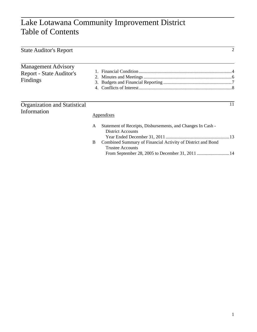# Lake Lotawana Community Improvement District Table of Contents

| <b>State Auditor's Report</b>                                      |        | 2                                                                                                                                                                                 |
|--------------------------------------------------------------------|--------|-----------------------------------------------------------------------------------------------------------------------------------------------------------------------------------|
| <b>Management Advisory</b><br>Report - State Auditor's<br>Findings | 3.     |                                                                                                                                                                                   |
| <b>Organization and Statistical</b><br>Information                 |        | 11<br>Appendixes                                                                                                                                                                  |
|                                                                    | A<br>B | Statement of Receipts, Disbursements, and Changes In Cash -<br><b>District Accounts</b><br>Combined Summary of Financial Activity of District and Bond<br><b>Trustee Accounts</b> |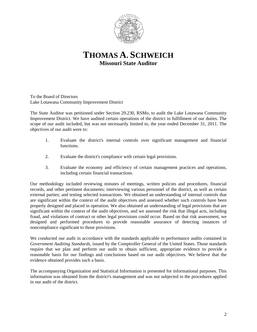

**THOMAS A. SCHWEICH Missouri State Auditor** 

To the Board of Directors Lake Lotawana Community Improvement District

The State Auditor was petitioned under Section 29.230, RSMo, to audit the Lake Lotawana Community Improvement District. We have audited certain operations of the district in fulfillment of our duties. The scope of our audit included, but was not necessarily limited to, the year ended December 31, 2011. The objectives of our audit were to:

- 1. Evaluate the district's internal controls over significant management and financial functions.
- 2. Evaluate the district's compliance with certain legal provisions.
- 3. Evaluate the economy and efficiency of certain management practices and operations, including certain financial transactions.

Our methodology included reviewing minutes of meetings, written policies and procedures, financial records, and other pertinent documents; interviewing various personnel of the district, as well as certain external parties; and testing selected transactions. We obtained an understanding of internal controls that are significant within the context of the audit objectives and assessed whether such controls have been properly designed and placed in operation. We also obtained an understanding of legal provisions that are significant within the context of the audit objectives, and we assessed the risk that illegal acts, including fraud, and violations of contract or other legal provisions could occur. Based on that risk assessment, we designed and performed procedures to provide reasonable assurance of detecting instances of noncompliance significant to those provisions.

We conducted our audit in accordance with the standards applicable to performance audits contained in *Government Auditing Standards*, issued by the Comptroller General of the United States. Those standards require that we plan and perform our audit to obtain sufficient, appropriate evidence to provide a reasonable basis for our findings and conclusions based on our audit objectives. We believe that the evidence obtained provides such a basis.

The accompanying Organization and Statistical Information is presented for informational purposes. This information was obtained from the district's management and was not subjected to the procedures applied in our audit of the district.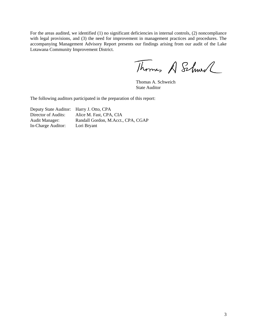For the areas audited, we identified (1) no significant deficiencies in internal controls, (2) noncompliance with legal provisions, and (3) the need for improvement in management practices and procedures. The accompanying Management Advisory Report presents our findings arising from our audit of the Lake Lotawana Community Improvement District.

Thomas A Schwel

 Thomas A. Schweich State Auditor

The following auditors participated in the preparation of this report:

Deputy State Auditor: Harry J. Otto, CPA Director of Audits: Alice M. Fast, CPA, CIA Audit Manager: Randall Gordon, M.Acct., CPA, CGAP In-Charge Auditor: Lori Bryant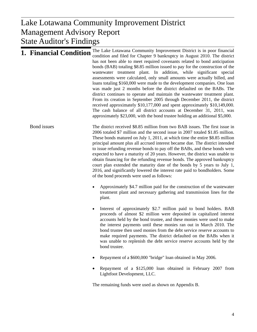# $\mathbf{D}_{\mathbf{on} \alpha}$ Management Advisory Report Lake Lotawana Community Improvement District State Auditor's Findings

| <b>1. Financial Condition</b> | The Lake Lotawana Community Improvement District is in poor financial<br>condition and filed for Chapter 9 bankruptcy in August 2010. The district<br>has not been able to meet required covenants related to bond anticipation<br>bonds (BAB) totaling \$8.85 million issued to pay for the construction of the<br>wastewater treatment plant. In addition, while significant special<br>assessments were calculated, only small amounts were actually billed, and<br>loans totaling \$160,000 were made to the development companies. One loan<br>was made just 2 months before the district defaulted on the BABs. The<br>district continues to operate and maintain the wastewater treatment plant.<br>From its creation in September 2005 through December 2011, the district<br>received approximately \$10,177,000 and spent approximately \$10,149,000.<br>The cash balance of all district accounts at December 31, 2011, was<br>approximately \$23,000, with the bond trustee holding an additional \$5,000. |
|-------------------------------|------------------------------------------------------------------------------------------------------------------------------------------------------------------------------------------------------------------------------------------------------------------------------------------------------------------------------------------------------------------------------------------------------------------------------------------------------------------------------------------------------------------------------------------------------------------------------------------------------------------------------------------------------------------------------------------------------------------------------------------------------------------------------------------------------------------------------------------------------------------------------------------------------------------------------------------------------------------------------------------------------------------------|
| Bond issues                   | The district received \$8.85 million from two BAB issues. The first issue in<br>2006 totaled \$7 million and the second issue in 2007 totaled \$1.85 million.<br>These bonds matured on July 1, 2011, at which time the entire \$8.85 million<br>principal amount plus all accrued interest became due. The district intended<br>to issue refunding revenue bonds to pay off the BABs, and these bonds were<br>expected to have a maturity of 20 years. However, the district was unable to<br>obtain financing for the refunding revenue bonds. The approved bankruptcy<br>court plan extended the maturity date of the bonds by 5 years to July 1,<br>2016, and significantly lowered the interest rate paid to bondholders. Some<br>of the bond proceeds were used as follows:                                                                                                                                                                                                                                      |
|                               | Approximately \$4.7 million paid for the construction of the wastewater<br>treatment plant and necessary gathering and transmission lines for the<br>plant.                                                                                                                                                                                                                                                                                                                                                                                                                                                                                                                                                                                                                                                                                                                                                                                                                                                            |
|                               | Interest of approximately \$2.7 million paid to bond holders. BAB<br>proceeds of almost \$2 million were deposited in capitalized interest<br>accounts held by the bond trustee, and these monies were used to make<br>the interest payments until these monies ran out in March 2010. The<br>bond trustee then used monies from the debt service reserve accounts to<br>make required payments. The district defaulted on the BABs when it<br>was unable to replenish the debt service reserve accounts held by the<br>bond trustee.                                                                                                                                                                                                                                                                                                                                                                                                                                                                                  |
|                               | Repayment of a \$600,000 "bridge" loan obtained in May 2006.                                                                                                                                                                                                                                                                                                                                                                                                                                                                                                                                                                                                                                                                                                                                                                                                                                                                                                                                                           |
|                               | Repayment of a \$125,000 loan obtained in February 2007 from<br>Lightfoot Development, LLC.                                                                                                                                                                                                                                                                                                                                                                                                                                                                                                                                                                                                                                                                                                                                                                                                                                                                                                                            |

The remaining funds were used as shown on Appendix B.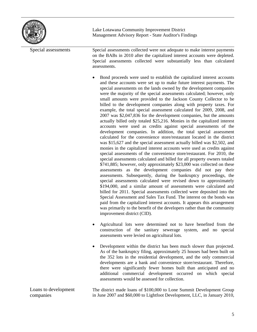

Lake Lotawana Community Improvement District Management Advisory Report - State Auditor's Findings

| Special assessments               | Special assessments collected were not adequate to make interest payments<br>on the BABs in 2010 after the capitalized interest accounts were depleted.<br>Special assessments collected were substantially less than calculated<br>assessments.                                                                                                                                                                                                                                                                                                                                                                                                                                                                                                                                                                                                                                                                                                                                                                                                                                                                                                                                                                                                                                                                                                                                                                                                                                                                                                                                                                                                                                                                                                                                                                                                                                                          |
|-----------------------------------|-----------------------------------------------------------------------------------------------------------------------------------------------------------------------------------------------------------------------------------------------------------------------------------------------------------------------------------------------------------------------------------------------------------------------------------------------------------------------------------------------------------------------------------------------------------------------------------------------------------------------------------------------------------------------------------------------------------------------------------------------------------------------------------------------------------------------------------------------------------------------------------------------------------------------------------------------------------------------------------------------------------------------------------------------------------------------------------------------------------------------------------------------------------------------------------------------------------------------------------------------------------------------------------------------------------------------------------------------------------------------------------------------------------------------------------------------------------------------------------------------------------------------------------------------------------------------------------------------------------------------------------------------------------------------------------------------------------------------------------------------------------------------------------------------------------------------------------------------------------------------------------------------------------|
|                                   | Bond proceeds were used to establish the capitalized interest accounts<br>and these accounts were set up to make future interest payments. The<br>special assessments on the lands owned by the development companies<br>were the majority of the special assessments calculated; however, only<br>small amounts were provided to the Jackson County Collector to be<br>billed to the development companies along with property taxes. For<br>example, the total special assessment calculated for 2009, 2008, and<br>2007 was \$2,047,836 for the development companies, but the amounts<br>actually billed only totaled \$25,216. Monies in the capitalized interest<br>accounts were used as credits against special assessments of the<br>development companies. In addition, the total special assessment<br>calculated for the convenience store/restaurant located in the district<br>was \$15,627 and the special assessment actually billed was \$2,502, and<br>monies in the capitalized interest accounts were used as credits against<br>special assessments of the convenience store/restaurant. For 2010, the<br>special assessments calculated and billed for all property owners totaled<br>\$741,885; however, only approximately \$23,000 was collected on these<br>assessments as the development companies did not pay their<br>assessments. Subsequently, during the bankruptcy proceedings, the<br>special assessments calculated were revised down to approximately<br>\$194,000, and a similar amount of assessments were calculated and<br>billed for 2011. Special assessments collected were deposited into the<br>Special Assessment and Sales Tax Fund. The interest on the bonds was<br>paid from the capitalized interest accounts. It appears this arrangement<br>was primarily to the benefit of the developers rather than the community<br>improvement district (CID). |
|                                   | Agricultural lots were determined not to have benefited from the<br>construction of the sanitary sewerage system, and no special<br>assessments were levied on agricultural lots.                                                                                                                                                                                                                                                                                                                                                                                                                                                                                                                                                                                                                                                                                                                                                                                                                                                                                                                                                                                                                                                                                                                                                                                                                                                                                                                                                                                                                                                                                                                                                                                                                                                                                                                         |
|                                   | Development within the district has been much slower than projected.<br>As of the bankruptcy filing, approximately 25 houses had been built on<br>the 352 lots in the residential development, and the only commercial<br>developments are a bank and convenience store/restaurant. Therefore,<br>there were significantly fewer homes built than anticipated and no<br>additional commercial development occurred on which special<br>assessments would be assessed for collection.                                                                                                                                                                                                                                                                                                                                                                                                                                                                                                                                                                                                                                                                                                                                                                                                                                                                                                                                                                                                                                                                                                                                                                                                                                                                                                                                                                                                                      |
| Loans to development<br>companies | The district made loans of \$100,000 to Lone Summit Development Group<br>in June 2007 and \$60,000 to Lightfoot Development, LLC, in January 2010,                                                                                                                                                                                                                                                                                                                                                                                                                                                                                                                                                                                                                                                                                                                                                                                                                                                                                                                                                                                                                                                                                                                                                                                                                                                                                                                                                                                                                                                                                                                                                                                                                                                                                                                                                        |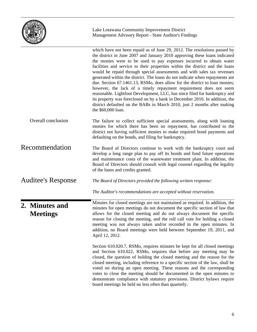

Lake Lotawana Community Improvement District Management Advisory Report - State Auditor's Findings

|                                   | which have not been repaid as of June 29, 2012. The resolutions passed by<br>the district in June 2007 and January 2010 approving these loans indicated<br>the monies were to be used to pay expenses incurred to obtain water<br>facilities and service to their properties within the district and the loans<br>would be repaid through special assessments and with sales tax revenues<br>generated within the district. The loans do not indicate when repayments are<br>due. Section 67.1461.13, RSMo, does allow for the district to loan monies;<br>however, the lack of a timely repayment requirement does not seem<br>reasonable. Lightfoot Development, LLC, has since filed for bankruptcy and<br>its property was foreclosed on by a bank in December 2010. In addition, the<br>district defaulted on the BABs in March 2010, just 2 months after making<br>the \$60,000 loan. |
|-----------------------------------|---------------------------------------------------------------------------------------------------------------------------------------------------------------------------------------------------------------------------------------------------------------------------------------------------------------------------------------------------------------------------------------------------------------------------------------------------------------------------------------------------------------------------------------------------------------------------------------------------------------------------------------------------------------------------------------------------------------------------------------------------------------------------------------------------------------------------------------------------------------------------------------------|
| Overall conclusion                | The failure to collect sufficient special assessments, along with loaning<br>monies for which there has been no repayment, has contributed to the<br>district not having sufficient monies to make required bond payments and<br>defaulting on the bonds, and filing for bankruptcy.                                                                                                                                                                                                                                                                                                                                                                                                                                                                                                                                                                                                        |
| Recommendation                    | The Board of Directors continue to work with the bankruptcy court and<br>develop a long range plan to pay off its bonds and fund future operations<br>and maintenance costs of the wastewater treatment plant. In addition, the<br>Board of Directors should consult with legal counsel regarding the legality<br>of the loans and credits granted.                                                                                                                                                                                                                                                                                                                                                                                                                                                                                                                                         |
| <b>Auditee's Response</b>         | The Board of Directors provided the following written response:                                                                                                                                                                                                                                                                                                                                                                                                                                                                                                                                                                                                                                                                                                                                                                                                                             |
|                                   | The Auditor's recommendations are accepted without reservation.                                                                                                                                                                                                                                                                                                                                                                                                                                                                                                                                                                                                                                                                                                                                                                                                                             |
| 2. Minutes and<br><b>Meetings</b> | Minutes for closed meetings are not maintained as required. In addition, the<br>minutes for open meetings do not document the specific section of law that<br>allows for the closed meeting and do not always document the specific<br>reason for closing the meeting, and the roll call vote for holding a closed<br>meeting was not always taken and/or recorded in the open minutes. In<br>addition, no Board meetings were held between September 19, 2011, and<br>April 12, 2012.                                                                                                                                                                                                                                                                                                                                                                                                      |
|                                   | Section 610.020.7, RSMo, requires minutes be kept for all closed meetings<br>and Section 610.022, RSMo, requires that before any meeting may be<br>closed, the question of holding the closed meeting and the reason for the<br>closed meeting, including reference to a specific section of the law, shall be<br>voted on during an open meeting. These reasons and the corresponding<br>votes to close the meeting should be documented in the open minutes to<br>demonstrate compliance with statutory provisions. District bylaws require<br>board meetings be held no less often than quarterly.                                                                                                                                                                                                                                                                                       |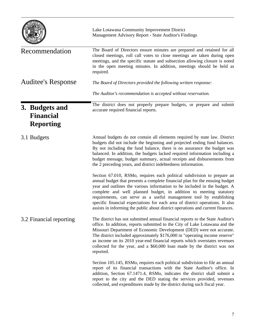|                                                        | Lake Lotawana Community Improvement District<br>Management Advisory Report - State Auditor's Findings                                                                                                                                                                                                                                                                                                                                                                                                                                                 |
|--------------------------------------------------------|-------------------------------------------------------------------------------------------------------------------------------------------------------------------------------------------------------------------------------------------------------------------------------------------------------------------------------------------------------------------------------------------------------------------------------------------------------------------------------------------------------------------------------------------------------|
| Recommendation                                         | The Board of Directors ensure minutes are prepared and retained for all<br>closed meetings, roll call votes to close meetings are taken during open<br>meetings, and the specific statute and subsection allowing closure is noted<br>in the open meeting minutes. In addition, meetings should be held as<br>required.                                                                                                                                                                                                                               |
| <b>Auditee's Response</b>                              | The Board of Directors provided the following written response:                                                                                                                                                                                                                                                                                                                                                                                                                                                                                       |
|                                                        | The Auditor's recommendation is accepted without reservation.                                                                                                                                                                                                                                                                                                                                                                                                                                                                                         |
| 3. Budgets and<br><b>Financial</b><br><b>Reporting</b> | The district does not properly prepare budgets, or prepare and submit<br>accurate required financial reports.                                                                                                                                                                                                                                                                                                                                                                                                                                         |
| 3.1 Budgets                                            | Annual budgets do not contain all elements required by state law. District<br>budgets did not include the beginning and projected ending fund balances.<br>By not including the fund balance, there is no assurance the budget was<br>balanced. In addition, the budgets lacked required information including a<br>budget message, budget summary, actual receipts and disbursements from<br>the 2 preceding years, and district indebtedness information.                                                                                           |
|                                                        | Section 67.010, RSMo, requires each political subdivision to prepare an<br>annual budget that presents a complete financial plan for the ensuing budget<br>year and outlines the various information to be included in the budget. A<br>complete and well planned budget, in addition to meeting statutory<br>requirements, can serve as a useful management tool by establishing<br>specific financial expectations for each area of district operations. It also<br>assists in informing the public about district operations and current finances. |
| 3.2 Financial reporting                                | The district has not submitted annual financial reports to the State Auditor's<br>office. In addition, reports submitted to the City of Lake Lotawana and the<br>Missouri Department of Economic Development (DED) were not accurate.<br>The district included approximately \$176,000 in "operating income reserve"<br>as income on its 2010 year-end financial reports which overstates revenues<br>collected for the year, and a \$60,000 loan made by the district was not<br>reported.                                                           |
|                                                        | Section 105.145, RSMo, requires each political subdivision to file an annual<br>report of its financial transactions with the State Auditor's office. In<br>addition, Section 67.1471.4, RSMo, indicates the district shall submit a<br>report to the city and the DED stating the services provided, revenues<br>collected, and expenditures made by the district during such fiscal year.                                                                                                                                                           |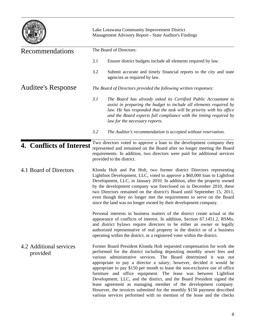|                                     |                         | Lake Lotawana Community Improvement District<br>Management Advisory Report - State Auditor's Findings                                                                                                                                                                                                                                                                                                                                                                                                                                                                                                                                                                                                                                           |  |
|-------------------------------------|-------------------------|-------------------------------------------------------------------------------------------------------------------------------------------------------------------------------------------------------------------------------------------------------------------------------------------------------------------------------------------------------------------------------------------------------------------------------------------------------------------------------------------------------------------------------------------------------------------------------------------------------------------------------------------------------------------------------------------------------------------------------------------------|--|
| Recommendations                     | The Board of Directors: |                                                                                                                                                                                                                                                                                                                                                                                                                                                                                                                                                                                                                                                                                                                                                 |  |
|                                     | 3.1                     | Ensure district budgets include all elements required by law.                                                                                                                                                                                                                                                                                                                                                                                                                                                                                                                                                                                                                                                                                   |  |
|                                     | 3.2                     | Submit accurate and timely financial reports to the city and state<br>agencies as required by law.                                                                                                                                                                                                                                                                                                                                                                                                                                                                                                                                                                                                                                              |  |
| <b>Auditee's Response</b>           |                         | The Board of Directors provided the following written responses:                                                                                                                                                                                                                                                                                                                                                                                                                                                                                                                                                                                                                                                                                |  |
|                                     | 3.1                     | The Board has already asked its Certified Public Accountant to<br>assist in preparing the budget to include all elements required by<br>law. He has responded that the task will be priority with his office<br>and the Board expects full compliance with the timing required by<br>law for the necessary reports.                                                                                                                                                                                                                                                                                                                                                                                                                             |  |
|                                     | 3.2                     | The Auditor's recommendation is accepted without reservation.                                                                                                                                                                                                                                                                                                                                                                                                                                                                                                                                                                                                                                                                                   |  |
| 4. Conflicts of Interest            |                         | Two directors voted to approve a loan to the development company they<br>represented and remained on the Board after no longer meeting the Board<br>requirements. In addition, two directors were paid for additional services<br>provided to the district.                                                                                                                                                                                                                                                                                                                                                                                                                                                                                     |  |
| 4.1 Board of Directors              |                         | Klonda Holt and Pat Holt, two former district Directors representing<br>Lightfoot Development, LLC, voted to approve a \$60,000 loan to Lightfoot<br>Development, LLC, in January 2010. In addition, after the property owned<br>by the development company was foreclosed on in December 2010, these<br>two Directors remained on the district's Board until September 15, 2011,<br>even though they no longer met the requirements to serve on the Board<br>since the land was no longer owned by their development company.                                                                                                                                                                                                                  |  |
|                                     |                         | Personal interests in business matters of the district create actual or the<br>appearance of conflicts of interest. In addition, Section 67.1451.2, RSMo,<br>and district bylaws require directors to be either an owner or legally<br>authorized representative of real property in the district or of a business<br>operating within the district, or a registered voter within the district.                                                                                                                                                                                                                                                                                                                                                 |  |
| 4.2 Additional services<br>provided |                         | Former Board President Klonda Holt requested compensation for work she<br>performed for the district including depositing monthly sewer fees and<br>various administrative services. The Board determined it was not<br>appropriate to pay a director a salary; however, decided it would be<br>appropriate to pay \$150 per month to lease the non-exclusive use of office<br>furniture and office equipment. The lease was between Lightfoot<br>Development, LLC, and the district, and the Board President signed the<br>lease agreement as managing member of the development company.<br>However, the invoices submitted for the monthly \$150 payment described<br>various services performed with no mention of the lease and the checks |  |

 $\overline{\phantom{a}}$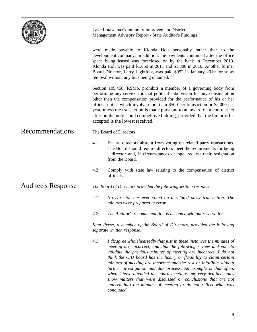|                    | Lake Lotawana Community Improvement District<br>Management Advisory Report - State Auditor's Findings                                                                                                                                                                                                                                                                                                                                                                                                        |  |
|--------------------|--------------------------------------------------------------------------------------------------------------------------------------------------------------------------------------------------------------------------------------------------------------------------------------------------------------------------------------------------------------------------------------------------------------------------------------------------------------------------------------------------------------|--|
|                    | were made payable to Klonda Holt personally rather than to the<br>development company. In addition, the payments continued after the office<br>space being leased was foreclosed on by the bank in December 2010.<br>Klonda Holt was paid \$1,650 in 2011 and \$1,800 in 2010. Another former<br>Board Director, Larry Lightfoot, was paid \$952 in January 2010 for snow<br>removal without any bids being obtained.                                                                                        |  |
|                    | Section 105.458, RSMo, prohibits a member of a governing body from<br>performing any service for that political subdivision for any consideration<br>other than the compensation provided for the performance of his or her<br>official duties which involve more than \$500 per transaction or \$5,000 per<br>year unless the transaction is made pursuant to an award on a contract let<br>after public notice and competitive bidding, provided that the bid or offer<br>accepted is the lowest received. |  |
| Recommendations    | The Board of Directors:                                                                                                                                                                                                                                                                                                                                                                                                                                                                                      |  |
|                    | 4.1<br>Ensure directors abstain from voting on related party transactions.<br>The Board should require directors meet the requirements for being<br>a director and, if circumstances change, request their resignation<br>from the Board.                                                                                                                                                                                                                                                                    |  |
|                    | 4.2<br>Comply with state law relating to the compensation of district<br>officials.                                                                                                                                                                                                                                                                                                                                                                                                                          |  |
| Auditee's Response | The Board of Directors provided the following written response:                                                                                                                                                                                                                                                                                                                                                                                                                                              |  |
|                    | 4.1<br>No Director has ever voted on a related party transaction. The<br>minutes were prepared in error.                                                                                                                                                                                                                                                                                                                                                                                                     |  |
|                    | 4.2<br>The Auditor's recommendation is accepted without reservation.                                                                                                                                                                                                                                                                                                                                                                                                                                         |  |
|                    | Kent Reese, a member of the Board of Directors, provided the following<br>separate written response:                                                                                                                                                                                                                                                                                                                                                                                                         |  |
|                    | 4.1<br>I disagree wholeheartedly that just in these instances the minutes of<br>meeting are incorrect, and that the following review and vote to<br>validate the previous minutes of meeting are incorrect. I do not<br>think the CID board has the luxury or flexibility to claim certain<br>minutes of meeting are incorrect and the rest or infallible without<br>further investigation and due process. An example is that often,                                                                        |  |

*think the CID board has the luxury or flexibility to claim certain infallible without furthering is that often, when I have attended the board meetings, my very detailed notes show matters that were discussed or conclusions that are not entered into the minutes of meeting or do not reflect what was concluded.*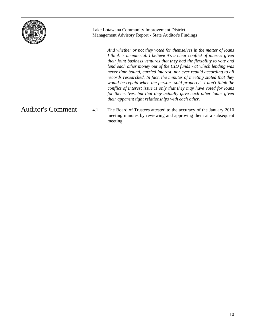

Lake Lotawana Community Improvement District Management Advisory Report - State Auditor's Findings

> *And whether or not they voted for themselves in the matter of loans I think is immaterial. I believe it's a clear conflict of interest given their joint business ventures that they had the flexibility to vote and lend each other money out of the CID funds - at which lending was never time bound, carried interest, nor ever repaid according to all records researched. In fact, the minutes of meeting stated that they would be repaid when the person "sold property". I don't think the conflict of interest issue is only that they may have voted for loans*  for themselves, but that they actually gave each other loans given *their apparent tight relationships with each other.*

## Auditor's Comment

4.1 The Board of Trustees attested to the accuracy of the January 2010 meeting minutes by reviewing and approving them at a subsequent meeting.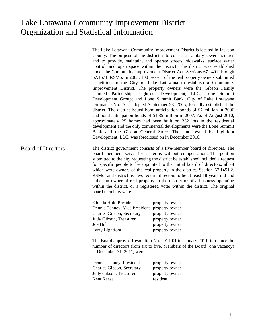## istical Information Organization and Statistical Information Organization and Statistical Information Lake Lotawana Community Improvement District

The Lake Lotawana Community Improvement District is located in Jackson County. The purpose of the district is to construct sanitary sewer facilities and to provide, maintain, and operate streets, sidewalks, surface water control, and open space within the district. The district was established under the Community Improvement District Act, Sections 67.1401 through 67.1571, RSMo. In 2005, 100 percent of the real property owners submitted a petition to the City of Lake Lotawana to establish a Community Improvement District. The property owners were the Gibson Family Limited Partnership; Lightfoot Development, LLC; Lone Summit Development Group; and Lone Summit Bank. City of Lake Lotawana Ordinance No. 765, adopted September 28, 2005, formally established the district. The district issued bond anticipation bonds of \$7 million in 2006 and bond anticipation bonds of \$1.85 million in 2007. As of August 2010, approximately 25 homes had been built on 352 lots in the residential development and the only commercial developments were the Lone Summit Bank and the Gibson General Store. The land owned by Lightfoot Development, LLC, was foreclosed on in December 2010.

The district government consists of a five-member board of directors. The board members serve 4-year terms without compensation. The petition submitted to the city requesting the district be established included a request for specific people to be appointed to the initial board of directors, all of which were owners of the real property in the district. Section 67.1451.2, RSMo, and district bylaws require directors to be at least 18 years old and either an owner of real property in the district or of a business operating within the district, or a registered voter within the district. The original board members were : Board of Directors

| Klonda Holt, President                       | property owner |
|----------------------------------------------|----------------|
| Dennis Tenney, Vice President property owner |                |
| Charles Gibson, Secretary                    | property owner |
| Judy Gibson, Treasurer                       | property owner |
| Joe Holt                                     | property owner |
| Larry Lightfoot                              | property owner |

The Board approved Resolution No. 2011-01 in January 2011, to reduce the number of directors from six to five. Members of the Board (one vacancy) at December 31, 2011, were:

| Dennis Tenney, President  | property owner |
|---------------------------|----------------|
| Charles Gibson, Secretary | property owner |
| Judy Gibson, Treasurer    | property owner |
| <b>Kent Reese</b>         | resident       |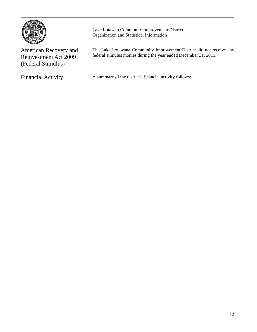

Lake Lotawan Community Improvement District Organization and Statistical Information

| American Recovery and<br>Reinvestment Act 2009<br>(Federal Stimulus) | The Lake Lotawana Community Improvement District did not receive any<br>federal stimulus monies during the year ended December 31, 2011. |
|----------------------------------------------------------------------|------------------------------------------------------------------------------------------------------------------------------------------|
| <b>Financial Activity</b>                                            | A summary of the district's financial activity follows:                                                                                  |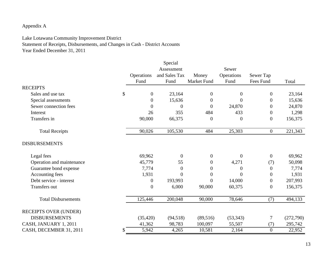## Appendix A

### Lake Lotawana Community Improvement District

Statement of Receipts, Disbursements, and Changes in Cash - District Accounts Year Ended December 31, 2011

| Assessment<br>Sewer<br>and Sales Tax<br>Operations<br>Operations<br>Money<br>Sewer Tap<br>Fees Fund<br>Fund<br>Fund<br><b>Market Fund</b><br>Fund<br>Total<br><b>RECEIPTS</b><br>\$<br>$\boldsymbol{0}$<br>23,164<br>$\boldsymbol{0}$<br>23,164<br>Sales and use tax<br>$\overline{0}$<br>$\boldsymbol{0}$<br>$\boldsymbol{0}$<br>15,636<br>15,636<br>Special assessments<br>$\boldsymbol{0}$<br>$\overline{0}$<br>$\boldsymbol{0}$<br>Sewer connection fees<br>$\boldsymbol{0}$<br>$\boldsymbol{0}$<br>24,870<br>24,870<br>$\theta$<br>$\overline{0}$<br>484<br>26<br>355<br>433<br>$\boldsymbol{0}$<br>1,298<br>Interest<br>Transfers in<br>90,000<br>156,375<br>66,375<br>$\boldsymbol{0}$<br>$\theta$<br>$\mathbf{0}$<br>90,026<br>105,530<br>484<br>25,303<br>$\boldsymbol{0}$<br>221,343<br><b>Total Receipts</b><br><b>DISBURSEMENTS</b><br>Legal fees<br>69,962<br>$\boldsymbol{0}$<br>$\overline{0}$<br>$\overline{0}$<br>69,962<br>$\overline{0}$<br>50,098<br>Operation and maintenance<br>45,779<br>55<br>4,271<br>$\boldsymbol{0}$<br>(7)<br>7,774<br>Guarantee bond expense<br>7,774<br>$\boldsymbol{0}$<br>$\theta$<br>$\overline{0}$<br>$\overline{0}$<br>Accounting fees<br>1,931<br>1,931<br>$\boldsymbol{0}$<br>$\boldsymbol{0}$<br>$\Omega$<br>$\boldsymbol{0}$<br>Debt service - interest<br>193,993<br>$\boldsymbol{0}$<br>14,000<br>207,993<br>$\boldsymbol{0}$<br>$\boldsymbol{0}$<br>Transfers out<br>$\mathbf{0}$<br>$\boldsymbol{0}$<br>6,000<br>90,000<br>60,375<br>156,375<br>200,048<br>494,133<br><b>Total Disbursements</b><br>125,446<br>90,000<br>78,646<br>(7) |                              |  | Special |  |  |           |
|---------------------------------------------------------------------------------------------------------------------------------------------------------------------------------------------------------------------------------------------------------------------------------------------------------------------------------------------------------------------------------------------------------------------------------------------------------------------------------------------------------------------------------------------------------------------------------------------------------------------------------------------------------------------------------------------------------------------------------------------------------------------------------------------------------------------------------------------------------------------------------------------------------------------------------------------------------------------------------------------------------------------------------------------------------------------------------------------------------------------------------------------------------------------------------------------------------------------------------------------------------------------------------------------------------------------------------------------------------------------------------------------------------------------------------------------------------------------------------------------------------------------------------------------------------------------------------------------------|------------------------------|--|---------|--|--|-----------|
|                                                                                                                                                                                                                                                                                                                                                                                                                                                                                                                                                                                                                                                                                                                                                                                                                                                                                                                                                                                                                                                                                                                                                                                                                                                                                                                                                                                                                                                                                                                                                                                                   |                              |  |         |  |  |           |
|                                                                                                                                                                                                                                                                                                                                                                                                                                                                                                                                                                                                                                                                                                                                                                                                                                                                                                                                                                                                                                                                                                                                                                                                                                                                                                                                                                                                                                                                                                                                                                                                   |                              |  |         |  |  |           |
|                                                                                                                                                                                                                                                                                                                                                                                                                                                                                                                                                                                                                                                                                                                                                                                                                                                                                                                                                                                                                                                                                                                                                                                                                                                                                                                                                                                                                                                                                                                                                                                                   |                              |  |         |  |  |           |
|                                                                                                                                                                                                                                                                                                                                                                                                                                                                                                                                                                                                                                                                                                                                                                                                                                                                                                                                                                                                                                                                                                                                                                                                                                                                                                                                                                                                                                                                                                                                                                                                   |                              |  |         |  |  |           |
|                                                                                                                                                                                                                                                                                                                                                                                                                                                                                                                                                                                                                                                                                                                                                                                                                                                                                                                                                                                                                                                                                                                                                                                                                                                                                                                                                                                                                                                                                                                                                                                                   |                              |  |         |  |  |           |
|                                                                                                                                                                                                                                                                                                                                                                                                                                                                                                                                                                                                                                                                                                                                                                                                                                                                                                                                                                                                                                                                                                                                                                                                                                                                                                                                                                                                                                                                                                                                                                                                   |                              |  |         |  |  |           |
|                                                                                                                                                                                                                                                                                                                                                                                                                                                                                                                                                                                                                                                                                                                                                                                                                                                                                                                                                                                                                                                                                                                                                                                                                                                                                                                                                                                                                                                                                                                                                                                                   |                              |  |         |  |  |           |
|                                                                                                                                                                                                                                                                                                                                                                                                                                                                                                                                                                                                                                                                                                                                                                                                                                                                                                                                                                                                                                                                                                                                                                                                                                                                                                                                                                                                                                                                                                                                                                                                   |                              |  |         |  |  |           |
|                                                                                                                                                                                                                                                                                                                                                                                                                                                                                                                                                                                                                                                                                                                                                                                                                                                                                                                                                                                                                                                                                                                                                                                                                                                                                                                                                                                                                                                                                                                                                                                                   |                              |  |         |  |  |           |
|                                                                                                                                                                                                                                                                                                                                                                                                                                                                                                                                                                                                                                                                                                                                                                                                                                                                                                                                                                                                                                                                                                                                                                                                                                                                                                                                                                                                                                                                                                                                                                                                   |                              |  |         |  |  |           |
|                                                                                                                                                                                                                                                                                                                                                                                                                                                                                                                                                                                                                                                                                                                                                                                                                                                                                                                                                                                                                                                                                                                                                                                                                                                                                                                                                                                                                                                                                                                                                                                                   |                              |  |         |  |  |           |
|                                                                                                                                                                                                                                                                                                                                                                                                                                                                                                                                                                                                                                                                                                                                                                                                                                                                                                                                                                                                                                                                                                                                                                                                                                                                                                                                                                                                                                                                                                                                                                                                   |                              |  |         |  |  |           |
|                                                                                                                                                                                                                                                                                                                                                                                                                                                                                                                                                                                                                                                                                                                                                                                                                                                                                                                                                                                                                                                                                                                                                                                                                                                                                                                                                                                                                                                                                                                                                                                                   |                              |  |         |  |  |           |
|                                                                                                                                                                                                                                                                                                                                                                                                                                                                                                                                                                                                                                                                                                                                                                                                                                                                                                                                                                                                                                                                                                                                                                                                                                                                                                                                                                                                                                                                                                                                                                                                   |                              |  |         |  |  |           |
|                                                                                                                                                                                                                                                                                                                                                                                                                                                                                                                                                                                                                                                                                                                                                                                                                                                                                                                                                                                                                                                                                                                                                                                                                                                                                                                                                                                                                                                                                                                                                                                                   |                              |  |         |  |  |           |
|                                                                                                                                                                                                                                                                                                                                                                                                                                                                                                                                                                                                                                                                                                                                                                                                                                                                                                                                                                                                                                                                                                                                                                                                                                                                                                                                                                                                                                                                                                                                                                                                   |                              |  |         |  |  |           |
|                                                                                                                                                                                                                                                                                                                                                                                                                                                                                                                                                                                                                                                                                                                                                                                                                                                                                                                                                                                                                                                                                                                                                                                                                                                                                                                                                                                                                                                                                                                                                                                                   |                              |  |         |  |  |           |
|                                                                                                                                                                                                                                                                                                                                                                                                                                                                                                                                                                                                                                                                                                                                                                                                                                                                                                                                                                                                                                                                                                                                                                                                                                                                                                                                                                                                                                                                                                                                                                                                   |                              |  |         |  |  |           |
|                                                                                                                                                                                                                                                                                                                                                                                                                                                                                                                                                                                                                                                                                                                                                                                                                                                                                                                                                                                                                                                                                                                                                                                                                                                                                                                                                                                                                                                                                                                                                                                                   | <b>RECEIPTS OVER (UNDER)</b> |  |         |  |  |           |
| <b>DISBURSEMENTS</b><br>(35, 420)<br>(94, 518)<br>(89, 516)<br>(53, 343)<br>7                                                                                                                                                                                                                                                                                                                                                                                                                                                                                                                                                                                                                                                                                                                                                                                                                                                                                                                                                                                                                                                                                                                                                                                                                                                                                                                                                                                                                                                                                                                     |                              |  |         |  |  | (272,790) |
| CASH, JANUARY 1, 2011<br>295,742<br>41,362<br>98,783<br>100,097<br>55,507<br>(7)                                                                                                                                                                                                                                                                                                                                                                                                                                                                                                                                                                                                                                                                                                                                                                                                                                                                                                                                                                                                                                                                                                                                                                                                                                                                                                                                                                                                                                                                                                                  |                              |  |         |  |  |           |
| 22,952<br>CASH, DECEMBER 31, 2011<br>5,942<br>4,265<br>10,581<br>2,164<br>$\overline{0}$<br>\$                                                                                                                                                                                                                                                                                                                                                                                                                                                                                                                                                                                                                                                                                                                                                                                                                                                                                                                                                                                                                                                                                                                                                                                                                                                                                                                                                                                                                                                                                                    |                              |  |         |  |  |           |